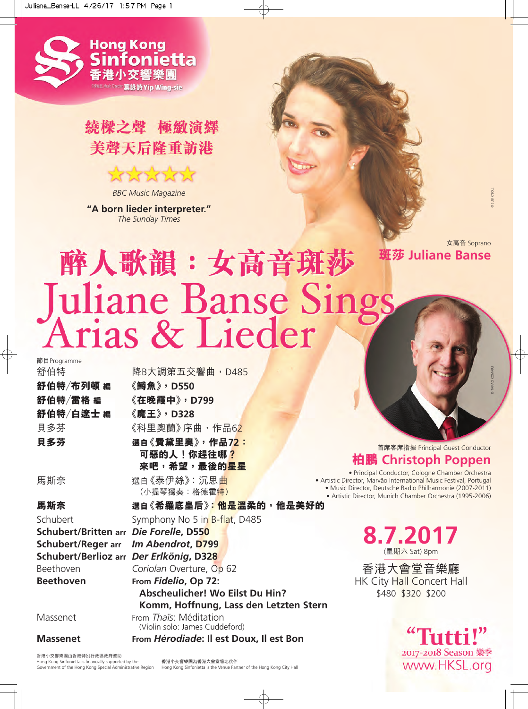

## 繞樑之聲 極緻演繹 美聲天后隆重訪港

MMMMM *BBC Music Magazine*

**"A born lieder interpreter."** *The Sunday Times*



© SUSI KNOLL

© TAKAO KOMARU

# 醉人歌韻:女高音斑莎 Juliane Banse Sings

**8.7.2017** (星期六 Sat) 8pm \$480 \$320 \$200 節目Programme 舒伯特 降B大調第五交響曲,D485 **舒伯特/布列頓 編 《鱒魚》,D550 舒伯特/雷格 編 《在晚霞中》,D799 舒伯特/白遼士 編 《魔王》,D328** 貝多芬 《科里奧蘭》序曲,作品62 **貝多芬 選自《費黛里奧》,作品72: 可惡的人!你趕往哪? 來吧,希望,最後的星星** 馬斯奈 選自《泰伊絲》:沉思曲 (小提琴獨奏:格德霍<mark>特)</mark> **馬斯奈 選自《希羅底皇后》:他是溫柔的,他是美好的** Schubert Symphony No 5 in B-flat, D485 **Schubert/Britten arr** *Die Forelle***, D550 Schubert/Reger arr** *Im Abendrot***, D799 Schubert/Berlioz arr** *Der Erlkönig***, D328** Beethoven *Coriolan* Overture, Op 62 **Beethoven From** *Fidelio***, Op 72: Abscheulicher! Wo Eilst Du Hin? Komm, Hoffnung, Lass den Letzten Stern** Massenet From *Thaïs*: Méditation (Violin solo: James Cuddeford) **Massenet From** *Hérodiade***: Il est Doux, Il est Bon**

香港小交響樂團由香港特別行政區政府資助 Hong Kong Sinfonietta is financially supported by the

Government of the Hong Kong Special Administrative Region Hong Kong Sinfonietta is the Venue Partner of the Hong Kong City Hall香港小交響樂團為香港大會堂場地伙伴

首席客席指揮 Principal Guest Conductor

### **柏鵬 Christoph Poppen**

• Principal Conductor, Cologne Chamber Orchestra • Artistic Director, Marvão International Music Festival, Portugal • Music Director, Deutsche Radio Philharmonie (2007-2011) • Artistic Director, Munich Chamber Orchestra (1995-2006)

香港大會堂音樂廳 HK City Hall Concert Hall

> hitti!" 2017-2018 Season 樂季 www.HKSL.org